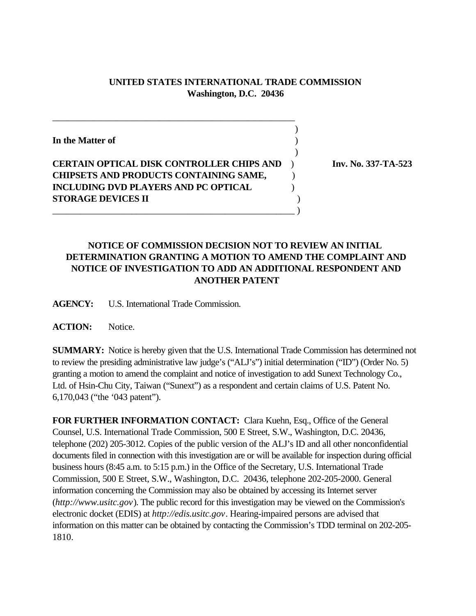## **UNITED STATES INTERNATIONAL TRADE COMMISSION Washington, D.C. 20436**

| In the Matter of                                 |  |
|--------------------------------------------------|--|
|                                                  |  |
| <b>CERTAIN OPTICAL DISK CONTROLLER CHIPS AND</b> |  |
| <b>CHIPSETS AND PRODUCTS CONTAINING SAME,</b>    |  |
| <b>INCLUDING DVD PLAYERS AND PC OPTICAL</b>      |  |
| <b>STORAGE DEVICES II</b>                        |  |
|                                                  |  |

\_\_\_\_\_\_\_\_\_\_\_\_\_\_\_\_\_\_\_\_\_\_\_\_\_\_\_\_\_\_\_\_\_\_\_\_\_\_\_\_\_\_\_\_\_\_\_\_\_\_\_\_

**Inv. No. 337-TA-523** 

## **NOTICE OF COMMISSION DECISION NOT TO REVIEW AN INITIAL DETERMINATION GRANTING A MOTION TO AMEND THE COMPLAINT AND NOTICE OF INVESTIGATION TO ADD AN ADDITIONAL RESPONDENT AND ANOTHER PATENT**

**AGENCY:** U.S. International Trade Commission.

**ACTION:** Notice.

**SUMMARY:** Notice is hereby given that the U.S. International Trade Commission has determined not to review the presiding administrative law judge's ("ALJ's") initial determination ("ID") (Order No. 5) granting a motion to amend the complaint and notice of investigation to add Sunext Technology Co., Ltd. of Hsin-Chu City, Taiwan ("Sunext") as a respondent and certain claims of U.S. Patent No. 6,170,043 ("the '043 patent").

**FOR FURTHER INFORMATION CONTACT:** Clara Kuehn, Esq., Office of the General Counsel, U.S. International Trade Commission, 500 E Street, S.W., Washington, D.C. 20436, telephone (202) 205-3012. Copies of the public version of the ALJ's ID and all other nonconfidential documents filed in connection with this investigation are or will be available for inspection during official business hours (8:45 a.m. to 5:15 p.m.) in the Office of the Secretary, U.S. International Trade Commission, 500 E Street, S.W., Washington, D.C. 20436, telephone 202-205-2000. General information concerning the Commission may also be obtained by accessing its Internet server (*http://www.usitc.gov*). The public record for this investigation may be viewed on the Commission's electronic docket (EDIS) at *http://edis.usitc.gov*. Hearing-impaired persons are advised that information on this matter can be obtained by contacting the Commission's TDD terminal on 202-205- 1810.